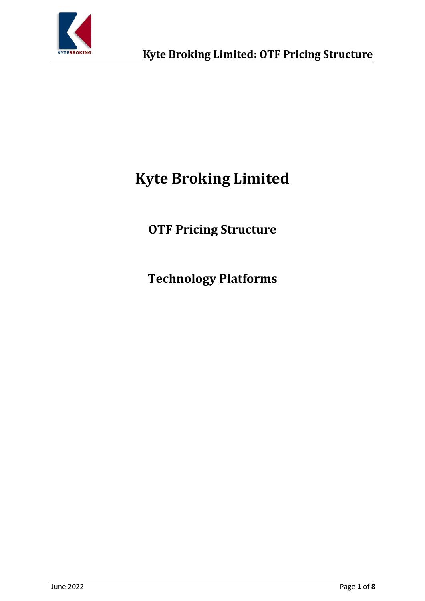

# **Kyte Broking Limited**

**OTF Pricing Structure**

**Technology Platforms**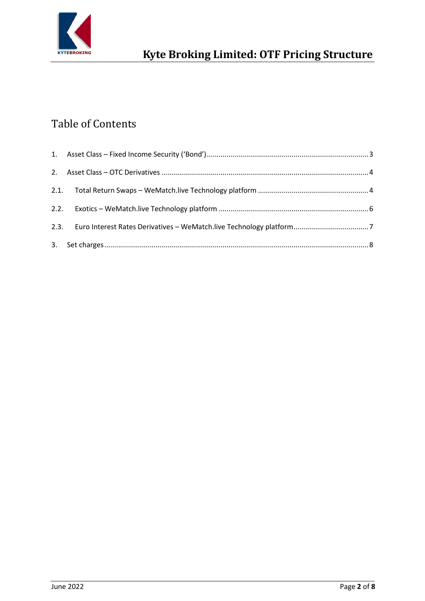

## Table of Contents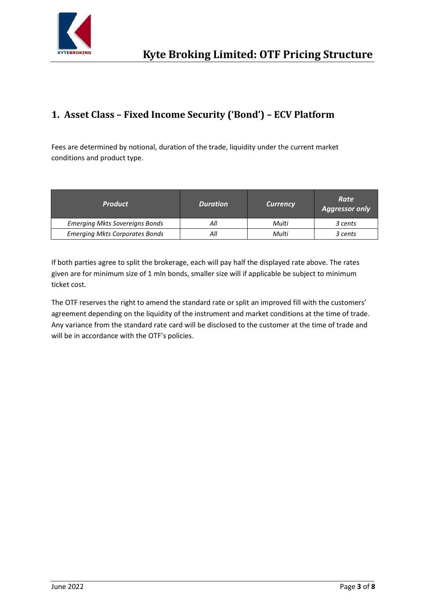

## <span id="page-2-0"></span>**1. Asset Class – Fixed Income Security ('Bond') – ECV Platform**

Fees are determined by notional, duration of the trade, liquidity under the current market conditions and product type.

| <b>Product</b>                        | <b>Duration</b> | <b>Currency</b> | Rate<br><b>Aggressor only</b> |
|---------------------------------------|-----------------|-----------------|-------------------------------|
| <b>Emerging Mkts Sovereigns Bonds</b> |                 | Multi           | 3 cents                       |
| <b>Emerging Mkts Corporates Bonds</b> |                 | Multi           | 3 cents                       |

If both parties agree to split the brokerage, each will pay half the displayed rate above. The rates given are for minimum size of 1 mln bonds, smaller size will if applicable be subject to minimum ticket cost.

The OTF reserves the right to amend the standard rate or split an improved fill with the customers' agreement depending on the liquidity of the instrument and market conditions at the time of trade. Any variance from the standard rate card will be disclosed to the customer at the time of trade and will be in accordance with the OTF's policies.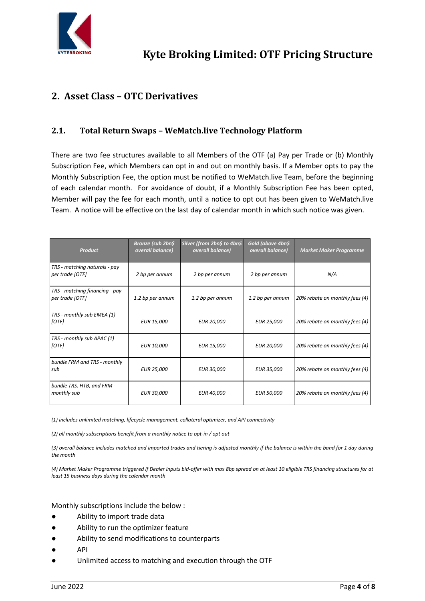

## <span id="page-3-0"></span>**2. Asset Class – OTC Derivatives**

#### <span id="page-3-1"></span>**2.1. Total Return Swaps – WeMatch.live Technology Platform**

There are two fee structures available to all Members of the OTF (a) Pay per Trade or (b) Monthly Subscription Fee, which Members can opt in and out on monthly basis. If a Member opts to pay the Monthly Subscription Fee, the option must be notified to WeMatch.live Team, before the beginning of each calendar month. For avoidance of doubt, if a Monthly Subscription Fee has been opted, Member will pay the fee for each month, until a notice to opt out has been given to WeMatch.live Team. A notice will be effective on the last day of calendar month in which such notice was given.

| <b>Product</b>                                    | Bronze (sub 2bn\$<br>overall balance) | Silver (from 2bn\$ to 4bn\$<br>overall balance) | Gold (above 4bn\$<br>overall balance) | <b>Market Maker Programme</b>  |
|---------------------------------------------------|---------------------------------------|-------------------------------------------------|---------------------------------------|--------------------------------|
| TRS - matching naturals - pay<br>per trade [OTF]  | 2 bp per annum                        | 2 bp per annum                                  | 2 bp per annum                        | N/A                            |
| TRS - matching financing - pay<br>per trade [OTF] | 1.2 bp per annum                      | 1.2 bp per annum                                | 1.2 bp per annum                      | 20% rebate on monthly fees (4) |
| TRS - monthly sub EMEA (1)<br>[OTF]               | <b>EUR 15,000</b>                     | <b>EUR 20,000</b>                               | <b>EUR 25,000</b>                     | 20% rebate on monthly fees (4) |
| TRS - monthly sub APAC (1)<br>[OTF]               | <b>EUR 10,000</b>                     | <b>EUR 15,000</b>                               | <b>EUR 20,000</b>                     | 20% rebate on monthly fees (4) |
| bundle FRM and TRS - monthly<br>sub               | <b>EUR 25,000</b>                     | <b>EUR 30,000</b>                               | <b>EUR 35,000</b>                     | 20% rebate on monthly fees (4) |
| bundle TRS, HTB, and FRM -<br>monthly sub         | <b>EUR 30,000</b>                     | <b>EUR 40,000</b>                               | <b>EUR 50,000</b>                     | 20% rebate on monthly fees (4) |

*(1) includes unlimited matching, lifecycle management, collateral optimizer, and API connectivity*

*(2) all monthly subscriptions benefit from a monthly notice to opt-in / opt out*

*(3) overall balance includes matched and imported trades and tiering is adjusted monthly if the balance is within the band for 1 day during the month*

*(4) Market Maker Programme triggered if Dealer inputs bid-offer with max 8bp spread on at least 10 eligible TRS financing structures for at least 15 business days during the calendar month*

Monthly subscriptions include the below :

- Ability to import trade data
- Ability to run the optimizer feature
- Ability to send modifications to counterparts
- **API**
- Unlimited access to matching and execution through the OTF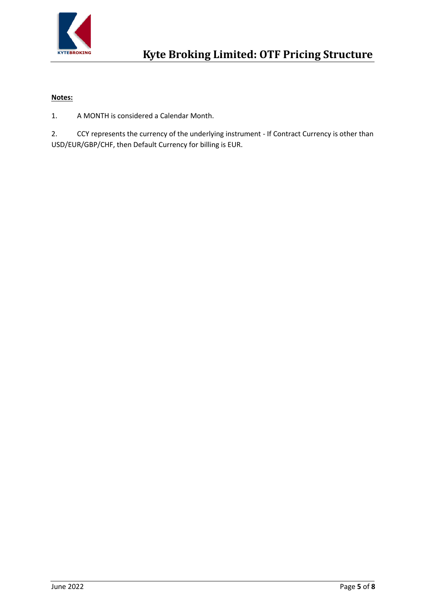

#### **Notes:**

1. A MONTH is considered a Calendar Month.

2. CCY represents the currency of the underlying instrument - If Contract Currency is other than USD/EUR/GBP/CHF, then Default Currency for billing is EUR.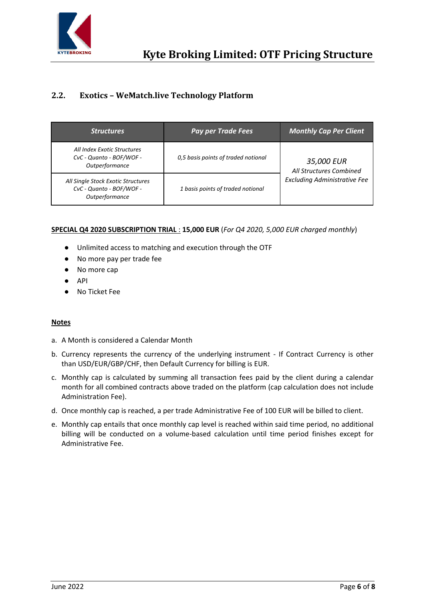

## <span id="page-5-0"></span>**2.2. Exotics – WeMatch.live Technology Platform**

| <b>Structures</b>                                                                | <b>Pay per Trade Fees</b>           | <b>Monthly Cap Per Client</b>         |  |
|----------------------------------------------------------------------------------|-------------------------------------|---------------------------------------|--|
| All Index Exotic Structures<br>CvC - Quanto - BOF/WOF -<br>Outperformance        | 0,5 basis points of traded notional | 35,000 EUR<br>All Structures Combined |  |
| All Single Stock Exotic Structures<br>CvC - Quanto - BOF/WOF -<br>Outperformance | 1 basis points of traded notional   | <b>Excluding Administrative Fee</b>   |  |

#### **SPECIAL Q4 2020 SUBSCRIPTION TRIAL** : **15,000 EUR** (*For Q4 2020, 5,000 EUR charged monthly*)

- Unlimited access to matching and execution through the OTF
- No more pay per trade fee
- No more cap
- API
- No Ticket Fee

#### **Notes**

- a. A Month is considered a Calendar Month
- b. Currency represents the currency of the underlying instrument If Contract Currency is other than USD/EUR/GBP/CHF, then Default Currency for billing is EUR.
- c. Monthly cap is calculated by summing all transaction fees paid by the client during a calendar month for all combined contracts above traded on the platform (cap calculation does not include Administration Fee).
- d. Once monthly cap is reached, a per trade Administrative Fee of 100 EUR will be billed to client.
- e. Monthly cap entails that once monthly cap level is reached within said time period, no additional billing will be conducted on a volume-based calculation until time period finishes except for Administrative Fee.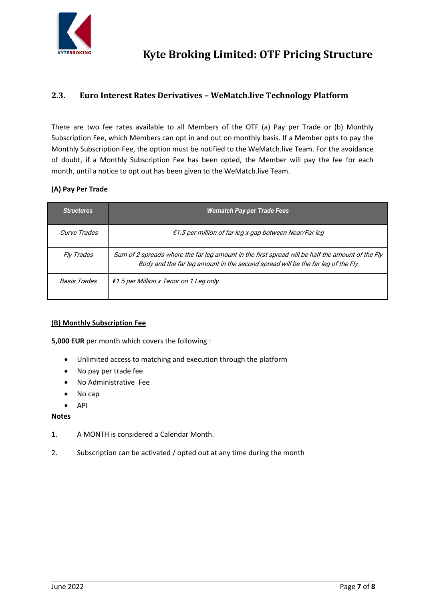

### <span id="page-6-0"></span>**2.3. Euro Interest Rates Derivatives – WeMatch.live Technology Platform**

There are two fee rates available to all Members of the OTF (a) Pay per Trade or (b) Monthly Subscription Fee, which Members can opt in and out on monthly basis. If a Member opts to pay the Monthly Subscription Fee, the option must be notified to the WeMatch.live Team. For the avoidance of doubt, if a Monthly Subscription Fee has been opted, the Member will pay the fee for each month, until a notice to opt out has been given to the WeMatch.live Team.

#### **(A) Pay Per Trade**

| <b>Structures</b>   | <b>Wematch Pay per Trade Fees</b>                                                                                                                                                   |
|---------------------|-------------------------------------------------------------------------------------------------------------------------------------------------------------------------------------|
| Curve Trades        | $f1.5$ per million of far leg x gap between Near/Far leg                                                                                                                            |
| <i>Fly Trades</i>   | Sum of 2 spreads where the far leg amount in the first spread will be half the amount of the Fly<br>Body and the far leg amount in the second spread will be the far leg of the Fly |
| <b>Basis Trades</b> | $f1.5$ per Million x Tenor on 1 Leg only                                                                                                                                            |

#### **(B) Monthly Subscription Fee**

**5,000 EUR** per month which covers the following :

- Unlimited access to matching and execution through the platform
- No pay per trade fee
- No Administrative Fee
- No cap
- API

#### **Notes**

- 1. A MONTH is considered a Calendar Month.
- 2. Subscription can be activated / opted out at any time during the month